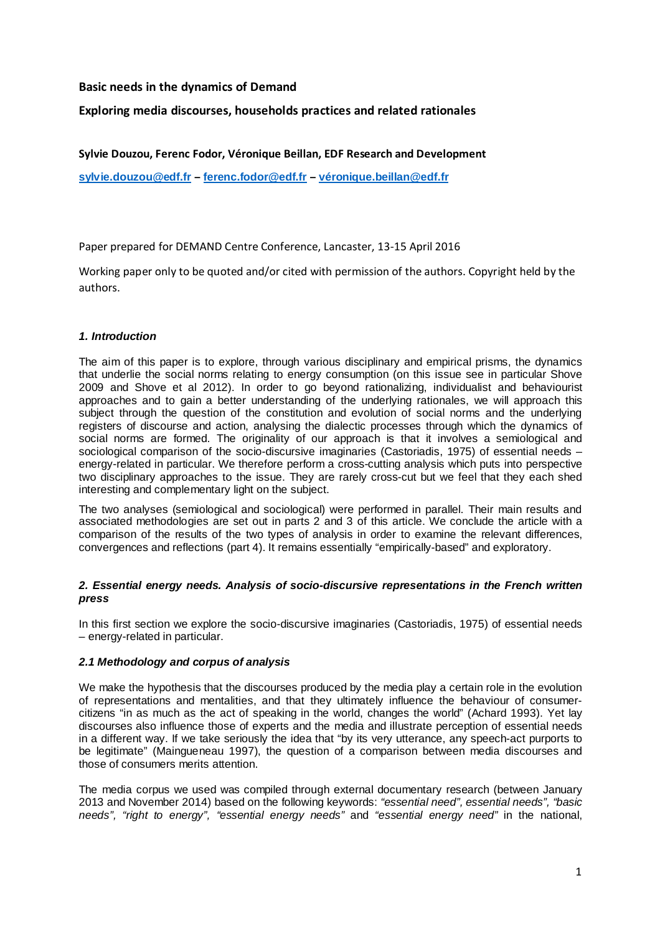# **Basic needs in the dynamics of Demand**

# **Exploring media discourses, households practices and related rationales**

## **Sylvie Douzou, Ferenc Fodor, Véronique Beillan, EDF Research and Development**

**sylvie.douzou@edf.fr – ferenc.fodor@edf.fr – véronique.beillan@edf.fr**

Paper prepared for DEMAND Centre Conference, Lancaster, 13-15 April 2016

Working paper only to be quoted and/or cited with permission of the authors. Copyright held by the authors.

### **1. Introduction**

The aim of this paper is to explore, through various disciplinary and empirical prisms, the dynamics that underlie the social norms relating to energy consumption (on this issue see in particular Shove 2009 and Shove et al 2012). In order to go beyond rationalizing, individualist and behaviourist approaches and to gain a better understanding of the underlying rationales, we will approach this subject through the question of the constitution and evolution of social norms and the underlying registers of discourse and action, analysing the dialectic processes through which the dynamics of social norms are formed. The originality of our approach is that it involves a semiological and sociological comparison of the socio-discursive imaginaries (Castoriadis, 1975) of essential needs – energy-related in particular. We therefore perform a cross-cutting analysis which puts into perspective two disciplinary approaches to the issue. They are rarely cross-cut but we feel that they each shed interesting and complementary light on the subject.

The two analyses (semiological and sociological) were performed in parallel. Their main results and associated methodologies are set out in parts 2 and 3 of this article. We conclude the article with a comparison of the results of the two types of analysis in order to examine the relevant differences, convergences and reflections (part 4). It remains essentially "empirically-based" and exploratory.

### **2. Essential energy needs. Analysis of socio-discursive representations in the French written press**

In this first section we explore the socio-discursive imaginaries (Castoriadis, 1975) of essential needs – energy-related in particular.

## **2.1 Methodology and corpus of analysis**

We make the hypothesis that the discourses produced by the media play a certain role in the evolution of representations and mentalities, and that they ultimately influence the behaviour of consumercitizens "in as much as the act of speaking in the world, changes the world" (Achard 1993). Yet lay discourses also influence those of experts and the media and illustrate perception of essential needs in a different way. If we take seriously the idea that "by its very utterance, any speech-act purports to be legitimate" (Maingueneau 1997), the question of a comparison between media discourses and those of consumers merits attention.

The media corpus we used was compiled through external documentary research (between January 2013 and November 2014) based on the following keywords: "essential need", essential needs", "basic needs", "right to energy", "essential energy needs" and "essential energy need" in the national,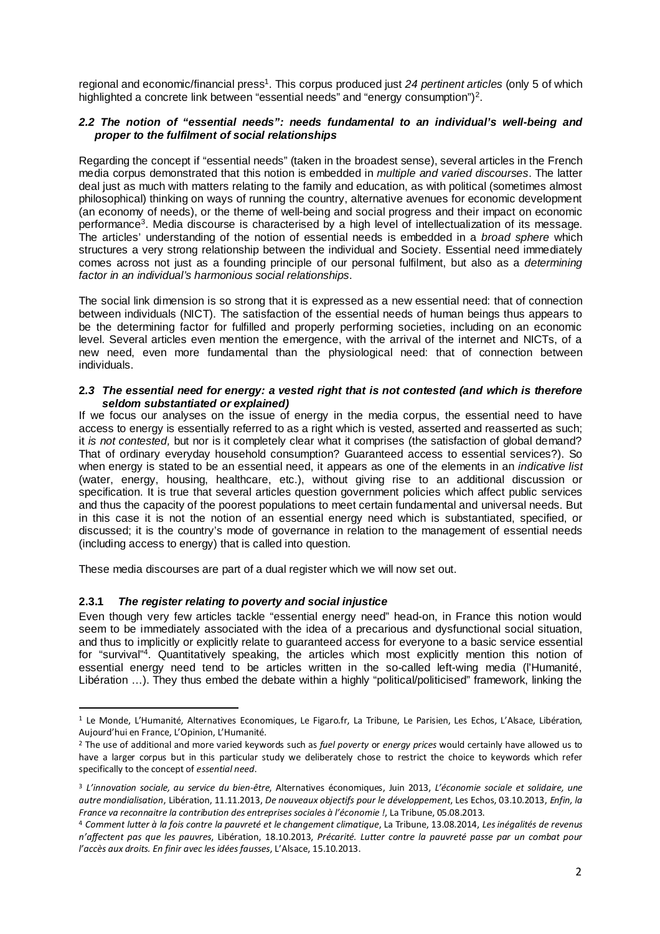regional and economic/financial press<sup>1</sup>. This corpus produced just 24 pertinent articles (only 5 of which highlighted a concrete link between "essential needs" and "energy consumption")<sup>2</sup>.

### **2.2 The notion of "essential needs": needs fundamental to an individual's well-being and proper to the fulfilment of social relationships**

Regarding the concept if "essential needs" (taken in the broadest sense), several articles in the French media corpus demonstrated that this notion is embedded in multiple and varied discourses. The latter deal just as much with matters relating to the family and education, as with political (sometimes almost philosophical) thinking on ways of running the country, alternative avenues for economic development (an economy of needs), or the theme of well-being and social progress and their impact on economic performance<sup>3</sup>. Media discourse is characterised by a high level of intellectualization of its message. The articles' understanding of the notion of essential needs is embedded in a *broad sphere* which structures a very strong relationship between the individual and Society. Essential need immediately comes across not just as a founding principle of our personal fulfilment, but also as a *determining* factor in an individual's harmonious social relationships.

The social link dimension is so strong that it is expressed as a new essential need: that of connection between individuals (NICT). The satisfaction of the essential needs of human beings thus appears to be the determining factor for fulfilled and properly performing societies, including on an economic level. Several articles even mention the emergence, with the arrival of the internet and NICTs, of a new need, even more fundamental than the physiological need: that of connection between individuals.

#### **2.3 The essential need for energy: a vested right that is not contested (and which is therefore seldom substantiated or explained)**

If we focus our analyses on the issue of energy in the media corpus, the essential need to have access to energy is essentially referred to as a right which is vested, asserted and reasserted as such; it is not contested, but nor is it completely clear what it comprises (the satisfaction of global demand? That of ordinary everyday household consumption? Guaranteed access to essential services?). So when energy is stated to be an essential need, it appears as one of the elements in an *indicative list* (water, energy, housing, healthcare, etc.), without giving rise to an additional discussion or specification. It is true that several articles question government policies which affect public services and thus the capacity of the poorest populations to meet certain fundamental and universal needs. But in this case it is not the notion of an essential energy need which is substantiated, specified, or discussed; it is the country's mode of governance in relation to the management of essential needs (including access to energy) that is called into question.

These media discourses are part of a dual register which we will now set out.

## **2.3.1 The register relating to poverty and social injustice**

l

Even though very few articles tackle "essential energy need" head-on, in France this notion would seem to be immediately associated with the idea of a precarious and dysfunctional social situation, and thus to implicitly or explicitly relate to guaranteed access for everyone to a basic service essential for "survival"<sup>4</sup> . Quantitatively speaking, the articles which most explicitly mention this notion of essential energy need tend to be articles written in the so-called left-wing media (l'Humanité, Libération …). They thus embed the debate within a highly "political/politicised" framework, linking the

<sup>&</sup>lt;sup>1</sup> Le Monde, L'Humanité, Alternatives Economiques, Le Figaro.fr, La Tribune, Le Parisien, Les Echos, L'Alsace, Libération, Aujourd'hui en France, L'Opinion, L'Humanité.

<sup>2</sup> The use of additional and more varied keywords such as *fuel poverty* or *energy prices* would certainly have allowed us to have a larger corpus but in this particular study we deliberately chose to restrict the choice to keywords which refer specifically to the concept of *essential need*.

<sup>3</sup> *L'innovation sociale, au service du bien-être*, Alternatives économiques, Juin 2013, *L'économie sociale et solidaire, une autre mondialisation*, Libération, 11.11.2013, *De nouveaux objectifs pour le développement*, Les Echos, 03.10.2013, *Enfin, la France va reconnaitre la contribution des entreprises sociales à l'économie !*, La Tribune, 05.08.2013.

<sup>4</sup> *Comment lutter à la fois contre la pauvreté et le changement climatique*, La Tribune, 13.08.2014, *Les inégalités de revenus n'affectent pas que les pauvres*, Libération, 18.10.2013, *Précarité. Lutter contre la pauvreté passe par un combat pour l'accès aux droits. En finir avec les idées fausses*, L'Alsace, 15.10.2013.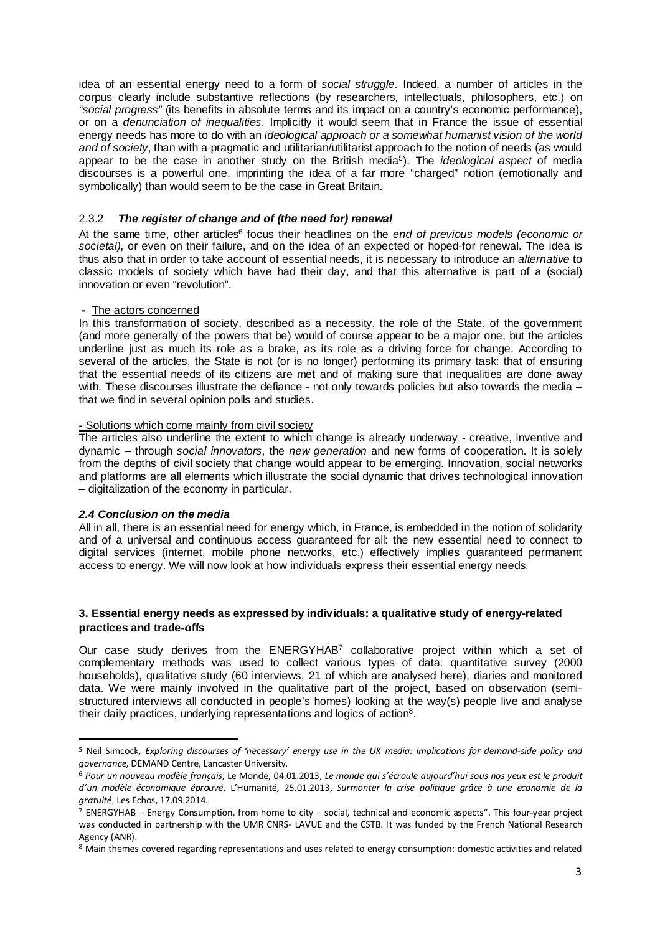idea of an essential energy need to a form of social struggle. Indeed, a number of articles in the corpus clearly include substantive reflections (by researchers, intellectuals, philosophers, etc.) on "social progress" (its benefits in absolute terms and its impact on a country's economic performance), or on a denunciation of inequalities. Implicitly it would seem that in France the issue of essential energy needs has more to do with an ideological approach or a somewhat humanist vision of the world and of society, than with a pragmatic and utilitarian/utilitarist approach to the notion of needs (as would appear to be the case in another study on the British media<sup>5</sup>). The *ideological aspect* of media discourses is a powerful one, imprinting the idea of a far more "charged" notion (emotionally and symbolically) than would seem to be the case in Great Britain.

## 2.3.2 **The register of change and of (the need for) renewal**

At the same time, other articles<sup>6</sup> focus their headlines on the end of previous models (economic or societal), or even on their failure, and on the idea of an expected or hoped-for renewal. The idea is thus also that in order to take account of essential needs, it is necessary to introduce an *alternative* to classic models of society which have had their day, and that this alternative is part of a (social) innovation or even "revolution".

#### **-** The actors concerned

In this transformation of society, described as a necessity, the role of the State, of the government (and more generally of the powers that be) would of course appear to be a major one, but the articles underline just as much its role as a brake, as its role as a driving force for change. According to several of the articles, the State is not (or is no longer) performing its primary task: that of ensuring that the essential needs of its citizens are met and of making sure that inequalities are done away with. These discourses illustrate the defiance - not only towards policies but also towards the media that we find in several opinion polls and studies.

#### - Solutions which come mainly from civil society

The articles also underline the extent to which change is already underway - creative, inventive and  $d$ ynamic – through social innovators, the new generation and new forms of cooperation. It is solely from the depths of civil society that change would appear to be emerging. Innovation, social networks and platforms are all elements which illustrate the social dynamic that drives technological innovation – digitalization of the economy in particular.

## **2.4 Conclusion on the media**

 $\overline{a}$ 

All in all, there is an essential need for energy which, in France, is embedded in the notion of solidarity and of a universal and continuous access guaranteed for all: the new essential need to connect to digital services (internet, mobile phone networks, etc.) effectively implies guaranteed permanent access to energy. We will now look at how individuals express their essential energy needs.

#### **3. Essential energy needs as expressed by individuals: a qualitative study of energy-related practices and trade-offs**

Our case study derives from the ENERGYHAB<sup>7</sup> collaborative project within which a set of complementary methods was used to collect various types of data: quantitative survey (2000 households), qualitative study (60 interviews, 21 of which are analysed here), diaries and monitored data. We were mainly involved in the qualitative part of the project, based on observation (semistructured interviews all conducted in people's homes) looking at the way(s) people live and analyse their daily practices, underlying representations and logics of action<sup>8</sup>.

<sup>5</sup> Neil Simcock*, Exploring discourses of 'necessary' energy use in the UK media: implications for demand-side policy and governance*, DEMAND Centre, Lancaster University.

<sup>6</sup> *Pour un nouveau modèle français*, Le Monde, 04.01.2013, *Le monde qui s'écroule aujourd'hui sous nos yeux est le produit d'un modèle économique éprouvé*, L'Humanité, 25.01.2013, *Surmonter la crise politique grâce à une économie de la gratuité*, Les Echos, 17.09.2014.

<sup>&</sup>lt;sup>7</sup> ENERGYHAB – Energy Consumption, from home to city – social, technical and economic aspects". This four-year project was conducted in partnership with the UMR CNRS- LAVUE and the CSTB. It was funded by the French National Research Agency (ANR).

<sup>&</sup>lt;sup>8</sup> Main themes covered regarding representations and uses related to energy consumption: domestic activities and related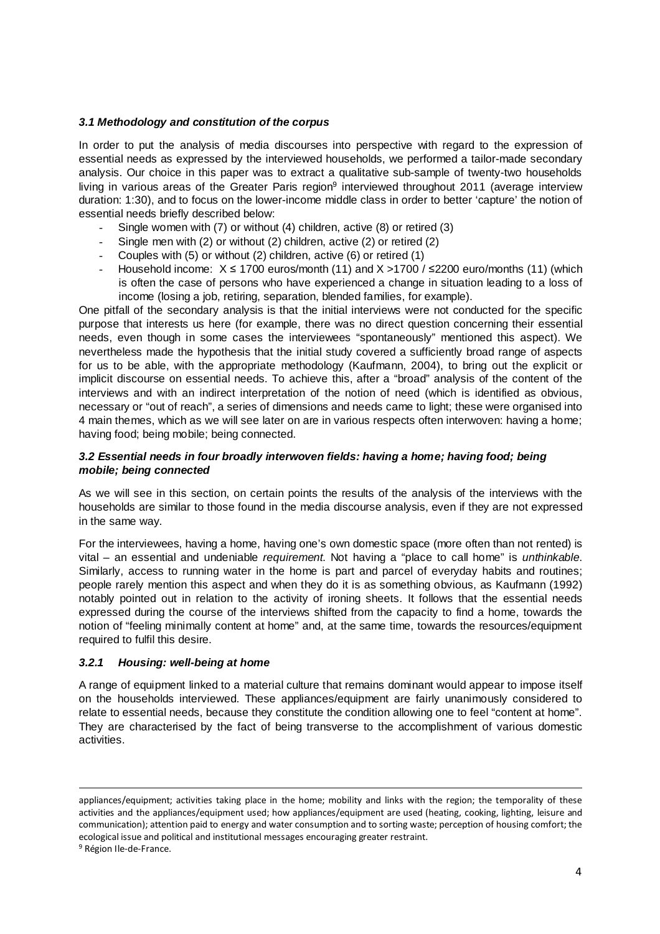## **3.1 Methodology and constitution of the corpus**

In order to put the analysis of media discourses into perspective with regard to the expression of essential needs as expressed by the interviewed households, we performed a tailor-made secondary analysis. Our choice in this paper was to extract a qualitative sub-sample of twenty-two households living in various areas of the Greater Paris region<sup>9</sup> interviewed throughout 2011 (average interview duration: 1:30), and to focus on the lower-income middle class in order to better 'capture' the notion of essential needs briefly described below:

- Single women with (7) or without (4) children, active (8) or retired (3)
- Single men with (2) or without (2) children, active (2) or retired (2)
- Couples with (5) or without (2) children, active (6) or retired (1)
- Household income:  $X \le 1700$  euros/month (11) and  $X > 1700$  /  $\le 2200$  euro/months (11) (which is often the case of persons who have experienced a change in situation leading to a loss of income (losing a job, retiring, separation, blended families, for example).

One pitfall of the secondary analysis is that the initial interviews were not conducted for the specific purpose that interests us here (for example, there was no direct question concerning their essential needs, even though in some cases the interviewees "spontaneously" mentioned this aspect). We nevertheless made the hypothesis that the initial study covered a sufficiently broad range of aspects for us to be able, with the appropriate methodology (Kaufmann, 2004), to bring out the explicit or implicit discourse on essential needs. To achieve this, after a "broad" analysis of the content of the interviews and with an indirect interpretation of the notion of need (which is identified as obvious, necessary or "out of reach", a series of dimensions and needs came to light; these were organised into 4 main themes, which as we will see later on are in various respects often interwoven: having a home; having food; being mobile; being connected.

## **3.2 Essential needs in four broadly interwoven fields: having a home; having food; being mobile; being connected**

As we will see in this section, on certain points the results of the analysis of the interviews with the households are similar to those found in the media discourse analysis, even if they are not expressed in the same way.

For the interviewees, having a home, having one's own domestic space (more often than not rented) is vital – an essential and undeniable requirement. Not having a "place to call home" is unthinkable. Similarly, access to running water in the home is part and parcel of everyday habits and routines; people rarely mention this aspect and when they do it is as something obvious, as Kaufmann (1992) notably pointed out in relation to the activity of ironing sheets. It follows that the essential needs expressed during the course of the interviews shifted from the capacity to find a home, towards the notion of "feeling minimally content at home" and, at the same time, towards the resources/equipment required to fulfil this desire.

## **3.2.1 Housing: well-being at home**

A range of equipment linked to a material culture that remains dominant would appear to impose itself on the households interviewed. These appliances/equipment are fairly unanimously considered to relate to essential needs, because they constitute the condition allowing one to feel "content at home". They are characterised by the fact of being transverse to the accomplishment of various domestic activities.

l

appliances/equipment; activities taking place in the home; mobility and links with the region; the temporality of these activities and the appliances/equipment used; how appliances/equipment are used (heating, cooking, lighting, leisure and communication); attention paid to energy and water consumption and to sorting waste; perception of housing comfort; the ecological issue and political and institutional messages encouraging greater restraint.

<sup>&</sup>lt;sup>9</sup> Région Ile-de-France.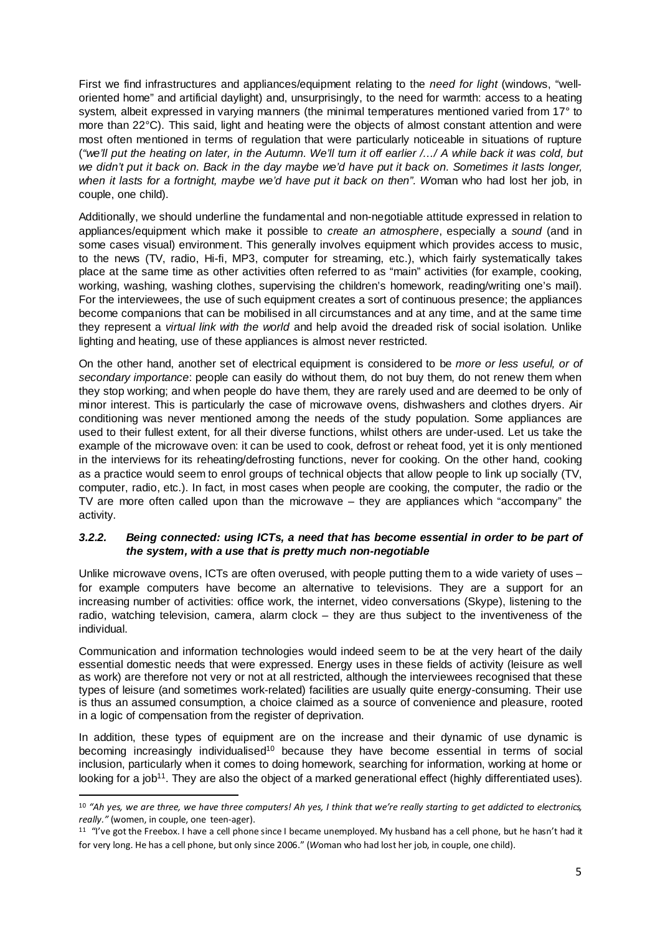First we find infrastructures and appliances/equipment relating to the need for light (windows, "welloriented home" and artificial daylight) and, unsurprisingly, to the need for warmth: access to a heating system, albeit expressed in varying manners (the minimal temperatures mentioned varied from 17° to more than 22°C). This said, light and heating were the objects of almost constant attention and were most often mentioned in terms of regulation that were particularly noticeable in situations of rupture ("we'll put the heating on later, in the Autumn. We'll turn it off earlier /…/ A while back it was cold, but we didn't put it back on. Back in the day maybe we'd have put it back on. Sometimes it lasts longer, when it lasts for a fortnight, maybe we'd have put it back on then". Woman who had lost her job, in couple, one child).

Additionally, we should underline the fundamental and non-negotiable attitude expressed in relation to appliances/equipment which make it possible to *create an atmosphere*, especially a *sound* (and in some cases visual) environment. This generally involves equipment which provides access to music, to the news (TV, radio, Hi-fi, MP3, computer for streaming, etc.), which fairly systematically takes place at the same time as other activities often referred to as "main" activities (for example, cooking, working, washing, washing clothes, supervising the children's homework, reading/writing one's mail). For the interviewees, the use of such equipment creates a sort of continuous presence; the appliances become companions that can be mobilised in all circumstances and at any time, and at the same time they represent a *virtual link with the world* and help avoid the dreaded risk of social isolation. Unlike lighting and heating, use of these appliances is almost never restricted.

On the other hand, another set of electrical equipment is considered to be more or less useful, or of secondary importance: people can easily do without them, do not buy them, do not renew them when they stop working; and when people do have them, they are rarely used and are deemed to be only of minor interest. This is particularly the case of microwave ovens, dishwashers and clothes dryers. Air conditioning was never mentioned among the needs of the study population. Some appliances are used to their fullest extent, for all their diverse functions, whilst others are under-used. Let us take the example of the microwave oven: it can be used to cook, defrost or reheat food, yet it is only mentioned in the interviews for its reheating/defrosting functions, never for cooking. On the other hand, cooking as a practice would seem to enrol groups of technical objects that allow people to link up socially (TV, computer, radio, etc.). In fact, in most cases when people are cooking, the computer, the radio or the TV are more often called upon than the microwave – they are appliances which "accompany" the activity.

# **3.2.2. Being connected: using ICTs, a need that has become essential in order to be part of the system, with a use that is pretty much non-negotiable**

Unlike microwave ovens, ICTs are often overused, with people putting them to a wide variety of uses for example computers have become an alternative to televisions. They are a support for an increasing number of activities: office work, the internet, video conversations (Skype), listening to the radio, watching television, camera, alarm clock – they are thus subject to the inventiveness of the individual.

Communication and information technologies would indeed seem to be at the very heart of the daily essential domestic needs that were expressed. Energy uses in these fields of activity (leisure as well as work) are therefore not very or not at all restricted, although the interviewees recognised that these types of leisure (and sometimes work-related) facilities are usually quite energy-consuming. Their use is thus an assumed consumption, a choice claimed as a source of convenience and pleasure, rooted in a logic of compensation from the register of deprivation.

In addition, these types of equipment are on the increase and their dynamic of use dynamic is becoming increasingly individualised<sup>10</sup> because they have become essential in terms of social inclusion, particularly when it comes to doing homework, searching for information, working at home or looking for a job<sup>11</sup>. They are also the object of a marked generational effect (highly differentiated uses).

l

<sup>10</sup> *"Ah yes, we are three, we have three computers! Ah yes, I think that we're really starting to get addicted to electronics, really."* (women, in couple, one teen-ager).

 $11$  "I've got the Freebox. I have a cell phone since I became unemployed. My husband has a cell phone, but he hasn't had it for very long. He has a cell phone, but only since 2006." (*W*oman who had lost her job, in couple, one child).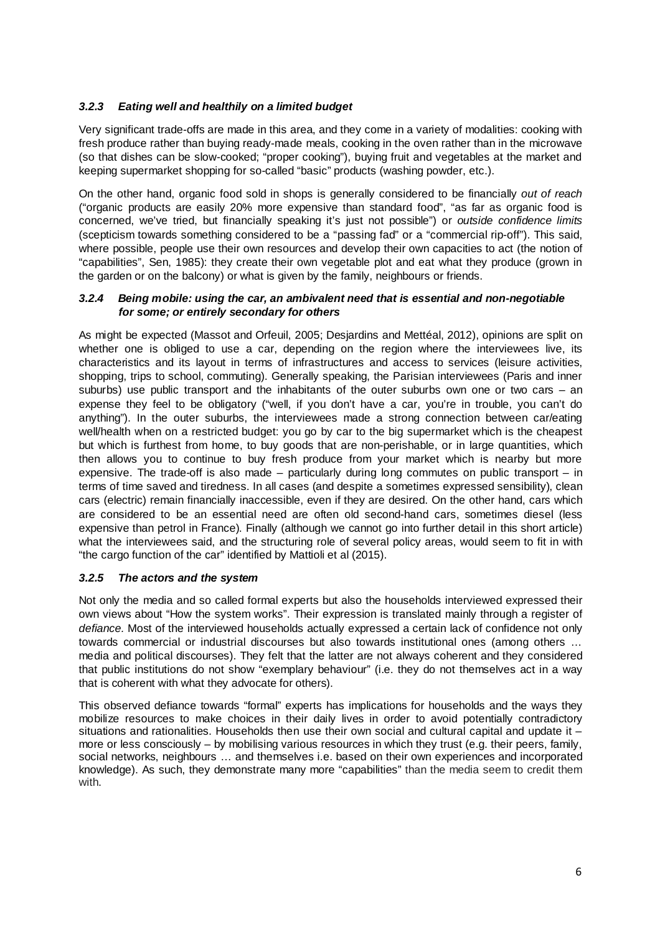# **3.2.3 Eating well and healthily on a limited budget**

Very significant trade-offs are made in this area, and they come in a variety of modalities: cooking with fresh produce rather than buying ready-made meals, cooking in the oven rather than in the microwave (so that dishes can be slow-cooked; "proper cooking"), buying fruit and vegetables at the market and keeping supermarket shopping for so-called "basic" products (washing powder, etc.).

On the other hand, organic food sold in shops is generally considered to be financially out of reach ("organic products are easily 20% more expensive than standard food", "as far as organic food is concerned, we've tried, but financially speaking it's just not possible") or outside confidence limits (scepticism towards something considered to be a "passing fad" or a "commercial rip-off"). This said, where possible, people use their own resources and develop their own capacities to act (the notion of "capabilities", Sen, 1985): they create their own vegetable plot and eat what they produce (grown in the garden or on the balcony) or what is given by the family, neighbours or friends.

## **3.2.4 Being mobile: using the car, an ambivalent need that is essential and non-negotiable for some; or entirely secondary for others**

As might be expected (Massot and Orfeuil, 2005; Desjardins and Mettéal, 2012), opinions are split on whether one is obliged to use a car, depending on the region where the interviewees live, its characteristics and its layout in terms of infrastructures and access to services (leisure activities, shopping, trips to school, commuting). Generally speaking, the Parisian interviewees (Paris and inner suburbs) use public transport and the inhabitants of the outer suburbs own one or two cars – an expense they feel to be obligatory ("well, if you don't have a car, you're in trouble, you can't do anything"). In the outer suburbs, the interviewees made a strong connection between car/eating well/health when on a restricted budget: you go by car to the big supermarket which is the cheapest but which is furthest from home, to buy goods that are non-perishable, or in large quantities, which then allows you to continue to buy fresh produce from your market which is nearby but more expensive. The trade-off is also made – particularly during long commutes on public transport – in terms of time saved and tiredness. In all cases (and despite a sometimes expressed sensibility), clean cars (electric) remain financially inaccessible, even if they are desired. On the other hand, cars which are considered to be an essential need are often old second-hand cars, sometimes diesel (less expensive than petrol in France). Finally (although we cannot go into further detail in this short article) what the interviewees said, and the structuring role of several policy areas, would seem to fit in with "the cargo function of the car" identified by Mattioli et al (2015).

## **3.2.5 The actors and the system**

Not only the media and so called formal experts but also the households interviewed expressed their own views about "How the system works". Their expression is translated mainly through a register of defiance. Most of the interviewed households actually expressed a certain lack of confidence not only towards commercial or industrial discourses but also towards institutional ones (among others … media and political discourses). They felt that the latter are not always coherent and they considered that public institutions do not show "exemplary behaviour" (i.e. they do not themselves act in a way that is coherent with what they advocate for others).

This observed defiance towards "formal" experts has implications for households and the ways they mobilize resources to make choices in their daily lives in order to avoid potentially contradictory situations and rationalities. Households then use their own social and cultural capital and update it  $$ more or less consciously – by mobilising various resources in which they trust (e.g. their peers, family, social networks, neighbours … and themselves i.e. based on their own experiences and incorporated knowledge). As such, they demonstrate many more "capabilities" than the media seem to credit them with.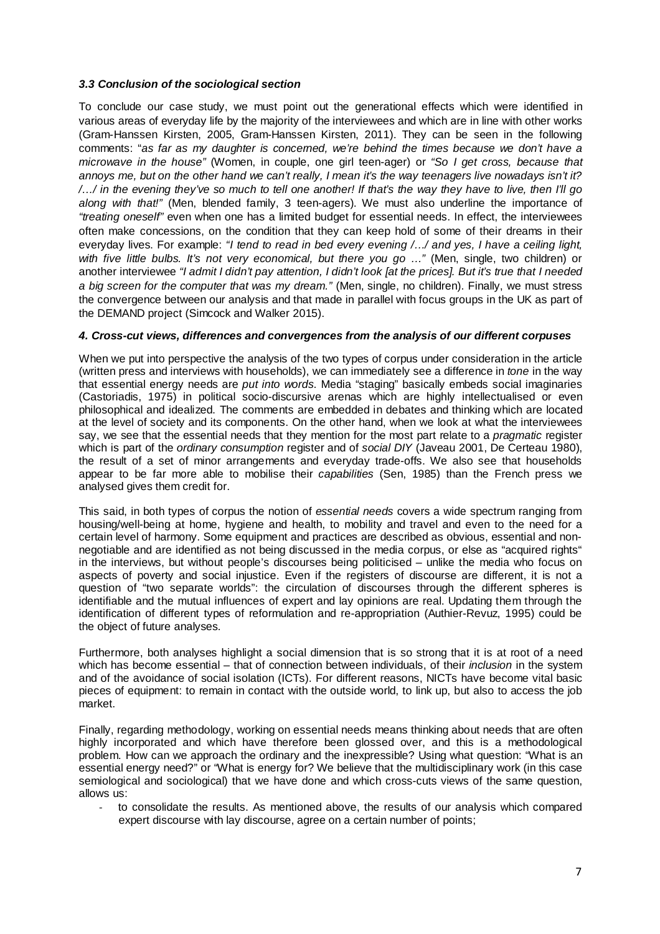# **3.3 Conclusion of the sociological section**

To conclude our case study, we must point out the generational effects which were identified in various areas of everyday life by the majority of the interviewees and which are in line with other works (Gram-Hanssen Kirsten, 2005, Gram-Hanssen Kirsten, 2011). They can be seen in the following comments: "as far as my daughter is concerned, we're behind the times because we don't have a microwave in the house" (Women, in couple, one girl teen-ager) or "So I get cross, because that annoys me, but on the other hand we can't really, I mean it's the way teenagers live nowadays isn't it? /…/ in the evening they've so much to tell one another! If that's the way they have to live, then I'll go along with that!" (Men, blended family, 3 teen-agers). We must also underline the importance of "treating oneself" even when one has a limited budget for essential needs. In effect, the interviewees often make concessions, on the condition that they can keep hold of some of their dreams in their everyday lives. For example: "I tend to read in bed every evening  $\ldots$  and yes, I have a ceiling light, with five little bulbs. It's not very economical, but there you go ..." (Men, single, two children) or another interviewee "I admit I didn't pay attention, I didn't look [at the prices]. But it's true that I needed a big screen for the computer that was my dream." (Men, single, no children). Finally, we must stress the convergence between our analysis and that made in parallel with focus groups in the UK as part of the DEMAND project (Simcock and Walker 2015).

## **4. Cross-cut views, differences and convergences from the analysis of our different corpuses**

When we put into perspective the analysis of the two types of corpus under consideration in the article (written press and interviews with households), we can immediately see a difference in tone in the way that essential energy needs are put into words. Media "staging" basically embeds social imaginaries (Castoriadis, 1975) in political socio-discursive arenas which are highly intellectualised or even philosophical and idealized. The comments are embedded in debates and thinking which are located at the level of society and its components. On the other hand, when we look at what the interviewees say, we see that the essential needs that they mention for the most part relate to a *pragmatic* register which is part of the *ordinary consumption* register and of *social DIY* (Javeau 2001, De Certeau 1980), the result of a set of minor arrangements and everyday trade-offs. We also see that households appear to be far more able to mobilise their *capabilities* (Sen, 1985) than the French press we analysed gives them credit for.

This said, in both types of corpus the notion of essential needs covers a wide spectrum ranging from housing/well-being at home, hygiene and health, to mobility and travel and even to the need for a certain level of harmony. Some equipment and practices are described as obvious, essential and nonnegotiable and are identified as not being discussed in the media corpus, or else as "acquired rights" in the interviews, but without people's discourses being politicised – unlike the media who focus on aspects of poverty and social injustice. Even if the registers of discourse are different, it is not a question of "two separate worlds": the circulation of discourses through the different spheres is identifiable and the mutual influences of expert and lay opinions are real. Updating them through the identification of different types of reformulation and re-appropriation (Authier-Revuz, 1995) could be the object of future analyses.

Furthermore, both analyses highlight a social dimension that is so strong that it is at root of a need which has become essential – that of connection between individuals, of their *inclusion* in the system and of the avoidance of social isolation (ICTs). For different reasons, NICTs have become vital basic pieces of equipment: to remain in contact with the outside world, to link up, but also to access the job market.

Finally, regarding methodology, working on essential needs means thinking about needs that are often highly incorporated and which have therefore been glossed over, and this is a methodological problem. How can we approach the ordinary and the inexpressible? Using what question: "What is an essential energy need?" or "What is energy for? We believe that the multidisciplinary work (in this case semiological and sociological) that we have done and which cross-cuts views of the same question, allows us:

to consolidate the results. As mentioned above, the results of our analysis which compared expert discourse with lay discourse, agree on a certain number of points;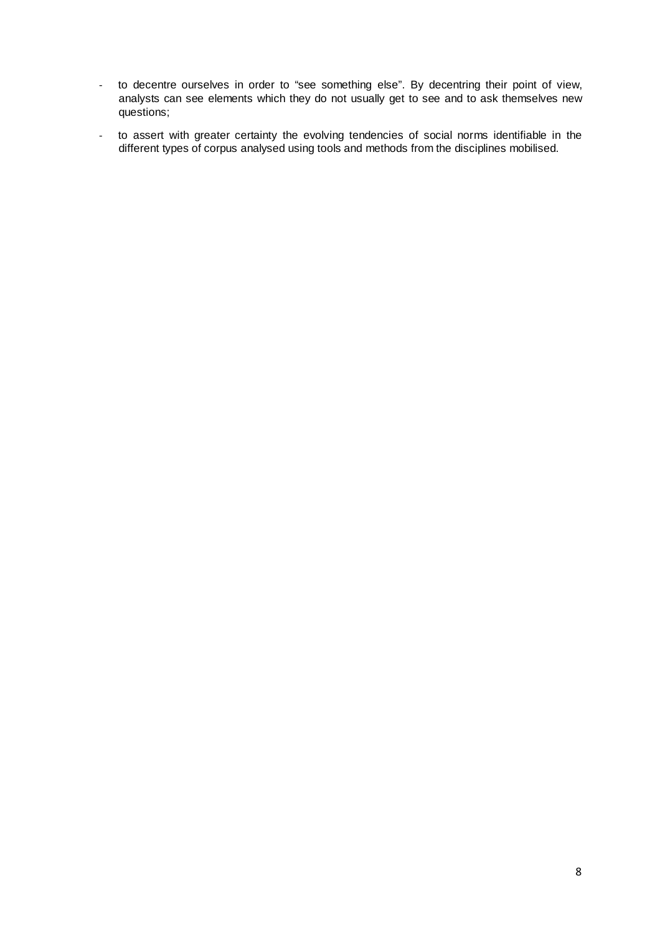- to decentre ourselves in order to "see something else". By decentring their point of view, analysts can see elements which they do not usually get to see and to ask themselves new questions;
- to assert with greater certainty the evolving tendencies of social norms identifiable in the different types of corpus analysed using tools and methods from the disciplines mobilised.